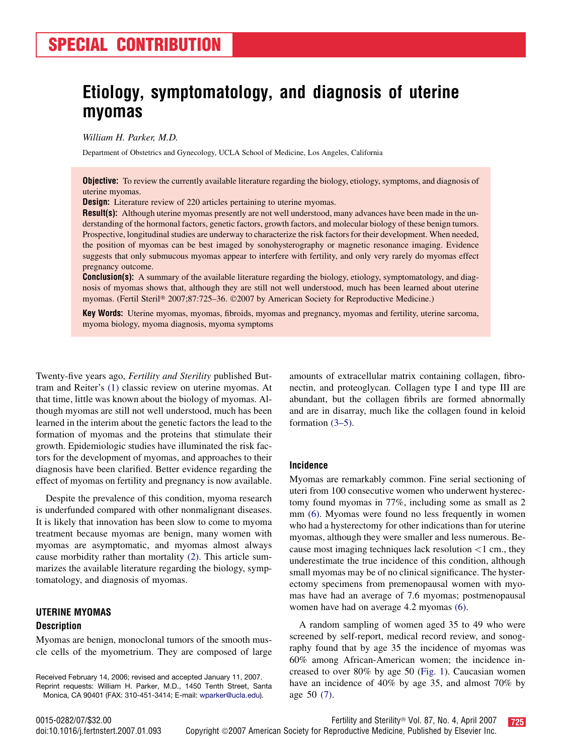# SPECIAL CONTRIBUTION

# Etiology, symptomatology, and diagnosis of uterine myomas

William H. Parker, M.D.

Department of Obstetrics and Gynecology, UCLA School of Medicine, Los Angeles, California

**Objective:** To review the currently available literature regarding the biology, etiology, symptoms, and diagnosis of uterine myomas.

**Design:** Literature review of 220 articles pertaining to uterine myomas.

**Result(s):** Although uterine myomas presently are not well understood, many advances have been made in the understanding of the hormonal factors, genetic factors, growth factors, and molecular biology of these benign tumors. Prospective, longitudinal studies are underway to characterize the risk factors for their development. When needed, the position of myomas can be best imaged by sonohysterography or magnetic resonance imaging. Evidence suggests that only submucous myomas appear to interfere with fertility, and only very rarely do myomas effect pregnancy outcome.

Conclusion(s): A summary of the available literature regarding the biology, etiology, symptomatology, and diagnosis of myomas shows that, although they are still not well understood, much has been learned about uterine myomas. (Fertil Steril® 2007;87:725-36. ©2007 by American Society for Reproductive Medicine.)

Key Words: Uterine myomas, myomas, fibroids, myomas and pregnancy, myomas and fertility, uterine sarcoma, myoma biology, myoma diagnosis, myoma symptoms

Twenty-five years ago, Fertility and Sterility published Buttram and Reiter's [\(1\)](#page-9-0) classic review on uterine myomas. At that time, little was known about the biology of myomas. Although myomas are still not well understood, much has been learned in the interim about the genetic factors the lead to the formation of myomas and the proteins that stimulate their growth. Epidemiologic studies have illuminated the risk factors for the development of myomas, and approaches to their diagnosis have been clarified. Better evidence regarding the effect of myomas on fertility and pregnancy is now available.

Despite the prevalence of this condition, myoma research is underfunded compared with other nonmalignant diseases. It is likely that innovation has been slow to come to myoma treatment because myomas are benign, many women with myomas are asymptomatic, and myomas almost always cause morbidity rather than mortality [\(2\).](#page-9-0) This article summarizes the available literature regarding the biology, symptomatology, and diagnosis of myomas.

# UTERINE MYOMAS **Description**

Myomas are benign, monoclonal tumors of the smooth muscle cells of the myometrium. They are composed of large

Received February 14, 2006; revised and accepted January 11, 2007. Reprint requests: William H. Parker, M.D., 1450 Tenth Street, Santa Monica, CA 90401 (FAX: 310-451-3414; E-mail: [wparker@ucla.edu](mailto:wparker@ucla.edu)).

amounts of extracellular matrix containing collagen, fibronectin, and proteoglycan. Collagen type I and type III are abundant, but the collagen fibrils are formed abnormally and are in disarray, much like the collagen found in keloid formation [\(3–5\).](#page-9-0)

#### Incidence

Myomas are remarkably common. Fine serial sectioning of uteri from 100 consecutive women who underwent hysterectomy found myomas in 77%, including some as small as 2 mm [\(6\).](#page-9-0) Myomas were found no less frequently in women who had a hysterectomy for other indications than for uterine myomas, although they were smaller and less numerous. Because most imaging techniques lack resolution  $\langle 1 \text{ cm.}, \text{ they} \rangle$ underestimate the true incidence of this condition, although small myomas may be of no clinical significance. The hysterectomy specimens from premenopausal women with myomas have had an average of 7.6 myomas; postmenopausal women have had on average 4.2 myomas [\(6\).](#page-9-0)

A random sampling of women aged 35 to 49 who were screened by self-report, medical record review, and sonography found that by age 35 the incidence of myomas was 60% among African-American women; the incidence increased to over 80% by age 50 ([Fig. 1\)](#page-1-0). Caucasian women have an incidence of 40% by age 35, and almost 70% by age 50 [\(7\)](#page-9-0).

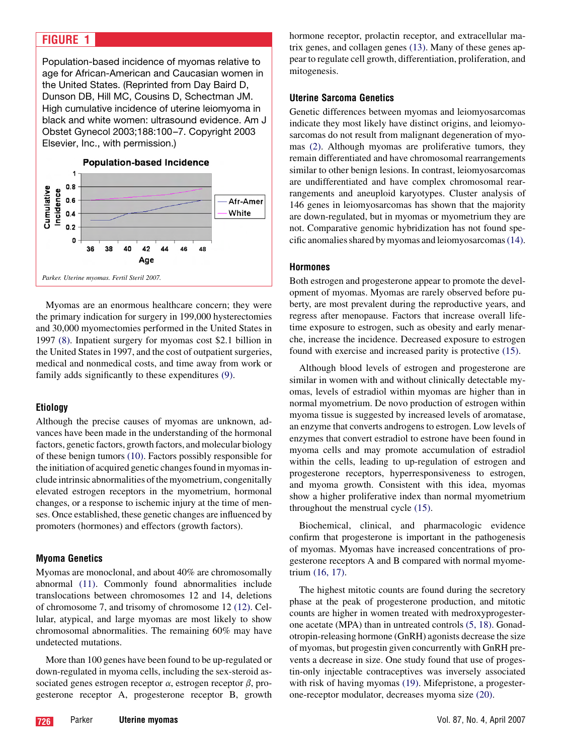# <span id="page-1-0"></span>FIGURE 1

Population-based incidence of myomas relative to age for African-American and Caucasian women in the United States. (Reprinted from Day Baird D, Dunson DB, Hill MC, Cousins D, Schectman JM. High cumulative incidence of uterine leiomyoma in black and white women: ultrasound evidence. Am J Obstet Gynecol 2003;188:100–7. Copyright 2003 Elsevier, Inc., with permission.)



Myomas are an enormous healthcare concern; they were the primary indication for surgery in 199,000 hysterectomies and 30,000 myomectomies performed in the United States in 1997 [\(8\).](#page-9-0) Inpatient surgery for myomas cost \$2.1 billion in the United States in 1997, and the cost of outpatient surgeries, medical and nonmedical costs, and time away from work or family adds significantly to these expenditures [\(9\).](#page-9-0)

# Etiology

Although the precise causes of myomas are unknown, advances have been made in the understanding of the hormonal factors, genetic factors, growth factors, and molecular biology of these benign tumors [\(10\)](#page-9-0). Factors possibly responsible for the initiation of acquired genetic changes found in myomas include intrinsic abnormalities of the myometrium, congenitally elevated estrogen receptors in the myometrium, hormonal changes, or a response to ischemic injury at the time of menses. Once established, these genetic changes are influenced by promoters (hormones) and effectors (growth factors).

#### Myoma Genetics

Myomas are monoclonal, and about 40% are chromosomally abnormal [\(11\).](#page-9-0) Commonly found abnormalities include translocations between chromosomes 12 and 14, deletions of chromosome 7, and trisomy of chromosome 12 [\(12\).](#page-9-0) Cellular, atypical, and large myomas are most likely to show chromosomal abnormalities. The remaining 60% may have undetected mutations.

More than 100 genes have been found to be up-regulated or down-regulated in myoma cells, including the sex-steroid associated genes estrogen receptor  $\alpha$ , estrogen receptor  $\beta$ , progesterone receptor A, progesterone receptor B, growth

hormone receptor, prolactin receptor, and extracellular matrix genes, and collagen genes [\(13\)](#page-9-0). Many of these genes appear to regulate cell growth, differentiation, proliferation, and mitogenesis.

#### Uterine Sarcoma Genetics

Genetic differences between myomas and leiomyosarcomas indicate they most likely have distinct origins, and leiomyosarcomas do not result from malignant degeneration of myomas [\(2\)](#page-9-0). Although myomas are proliferative tumors, they remain differentiated and have chromosomal rearrangements similar to other benign lesions. In contrast, leiomyosarcomas are undifferentiated and have complex chromosomal rearrangements and aneuploid karyotypes. Cluster analysis of 146 genes in leiomyosarcomas has shown that the majority are down-regulated, but in myomas or myometrium they are not. Comparative genomic hybridization has not found specific anomalies shared by myomas and leiomyosarcomas[\(14\)](#page-9-0).

#### Hormones

Both estrogen and progesterone appear to promote the development of myomas. Myomas are rarely observed before puberty, are most prevalent during the reproductive years, and regress after menopause. Factors that increase overall lifetime exposure to estrogen, such as obesity and early menarche, increase the incidence. Decreased exposure to estrogen found with exercise and increased parity is protective [\(15\).](#page-9-0)

Although blood levels of estrogen and progesterone are similar in women with and without clinically detectable myomas, levels of estradiol within myomas are higher than in normal myometrium. De novo production of estrogen within myoma tissue is suggested by increased levels of aromatase, an enzyme that converts androgens to estrogen. Low levels of enzymes that convert estradiol to estrone have been found in myoma cells and may promote accumulation of estradiol within the cells, leading to up-regulation of estrogen and progesterone receptors, hyperresponsiveness to estrogen, and myoma growth. Consistent with this idea, myomas show a higher proliferative index than normal myometrium throughout the menstrual cycle [\(15\)](#page-9-0).

Biochemical, clinical, and pharmacologic evidence confirm that progesterone is important in the pathogenesis of myomas. Myomas have increased concentrations of progesterone receptors A and B compared with normal myometrium [\(16, 17\)](#page-9-0).

The highest mitotic counts are found during the secretory phase at the peak of progesterone production, and mitotic counts are higher in women treated with medroxyprogesterone acetate (MPA) than in untreated controls [\(5, 18\)](#page-9-0). Gonadotropin-releasing hormone (GnRH) agonists decrease the size of myomas, but progestin given concurrently with GnRH prevents a decrease in size. One study found that use of progestin-only injectable contraceptives was inversely associated with risk of having myomas [\(19\)](#page-9-0). Mifepristone, a progesterone-receptor modulator, decreases myoma size [\(20\).](#page-9-0)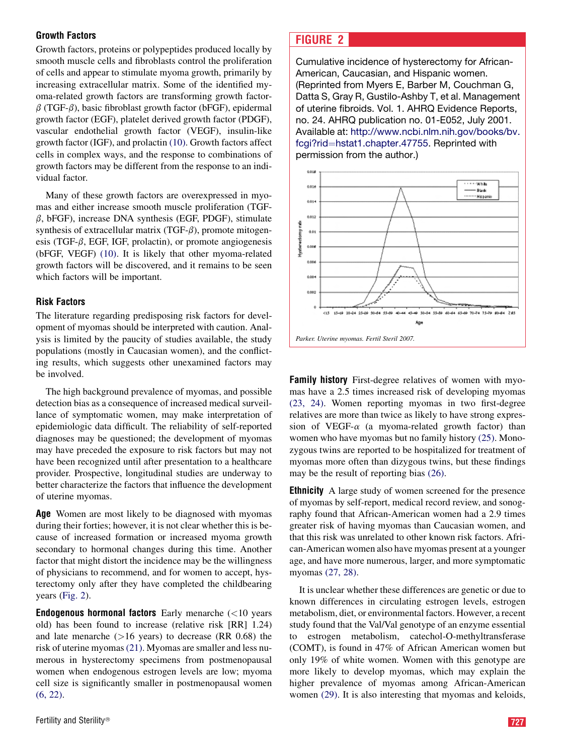# Growth Factors

Growth factors, proteins or polypeptides produced locally by smooth muscle cells and fibroblasts control the proliferation of cells and appear to stimulate myoma growth, primarily by increasing extracellular matrix. Some of the identified myoma-related growth factors are transforming growth factor- $\beta$  (TGF- $\beta$ ), basic fibroblast growth factor (bFGF), epidermal growth factor (EGF), platelet derived growth factor (PDGF), vascular endothelial growth factor (VEGF), insulin-like growth factor (IGF), and prolactin [\(10\)](#page-9-0). Growth factors affect cells in complex ways, and the response to combinations of growth factors may be different from the response to an individual factor.

Many of these growth factors are overexpressed in myomas and either increase smooth muscle proliferation (TGF- $\beta$ , bFGF), increase DNA synthesis (EGF, PDGF), stimulate synthesis of extracellular matrix (TGF- $\beta$ ), promote mitogenesis (TGF- $\beta$ , EGF, IGF, prolactin), or promote angiogenesis (bFGF, VEGF) [\(10\)](#page-9-0). It is likely that other myoma-related growth factors will be discovered, and it remains to be seen which factors will be important.

## Risk Factors

The literature regarding predisposing risk factors for development of myomas should be interpreted with caution. Analysis is limited by the paucity of studies available, the study populations (mostly in Caucasian women), and the conflicting results, which suggests other unexamined factors may be involved.

The high background prevalence of myomas, and possible detection bias as a consequence of increased medical surveillance of symptomatic women, may make interpretation of epidemiologic data difficult. The reliability of self-reported diagnoses may be questioned; the development of myomas may have preceded the exposure to risk factors but may not have been recognized until after presentation to a healthcare provider. Prospective, longitudinal studies are underway to better characterize the factors that influence the development of uterine myomas.

Age Women are most likely to be diagnosed with myomas during their forties; however, it is not clear whether this is because of increased formation or increased myoma growth secondary to hormonal changes during this time. Another factor that might distort the incidence may be the willingness of physicians to recommend, and for women to accept, hysterectomy only after they have completed the childbearing years (Fig. 2).

**Endogenous hormonal factors** Early menarche  $(<10$  years old) has been found to increase (relative risk [RR] 1.24) and late menarche  $(>16$  years) to decrease (RR 0.68) the risk of uterine myomas [\(21\).](#page-9-0) Myomas are smaller and less numerous in hysterectomy specimens from postmenopausal women when endogenous estrogen levels are low; myoma cell size is significantly smaller in postmenopausal women [\(6, 22\).](#page-9-0)

# FIGURE 2

Cumulative incidence of hysterectomy for African-American, Caucasian, and Hispanic women. (Reprinted from Myers E, Barber M, Couchman G, Datta S, Gray R, Gustilo-Ashby T, et al. Management of uterine fibroids. Vol. 1. AHRQ Evidence Reports, no. 24. AHRQ publication no. 01-E052, July 2001. Available at: http://www.ncbi.nlm.nih.gov/books/bv. fcgi?rid=hstat1.chapter.47755. Reprinted with permission from the author.)



Family history First-degree relatives of women with myomas have a 2.5 times increased risk of developing myomas [\(23, 24\).](#page-9-0) Women reporting myomas in two first-degree relatives are more than twice as likely to have strong expression of VEGF- $\alpha$  (a myoma-related growth factor) than women who have myomas but no family history [\(25\)](#page-9-0). Monozygous twins are reported to be hospitalized for treatment of myomas more often than dizygous twins, but these findings may be the result of reporting bias [\(26\)](#page-9-0).

Ethnicity A large study of women screened for the presence of myomas by self-report, medical record review, and sonography found that African-American women had a 2.9 times greater risk of having myomas than Caucasian women, and that this risk was unrelated to other known risk factors. African-American women also have myomas present at a younger age, and have more numerous, larger, and more symptomatic myomas [\(27, 28\)](#page-9-0).

It is unclear whether these differences are genetic or due to known differences in circulating estrogen levels, estrogen metabolism, diet, or environmental factors. However, a recent study found that the Val/Val genotype of an enzyme essential to estrogen metabolism, catechol-O-methyltransferase (COMT), is found in 47% of African American women but only 19% of white women. Women with this genotype are more likely to develop myomas, which may explain the higher prevalence of myomas among African-American women [\(29\).](#page-9-0) It is also interesting that myomas and keloids,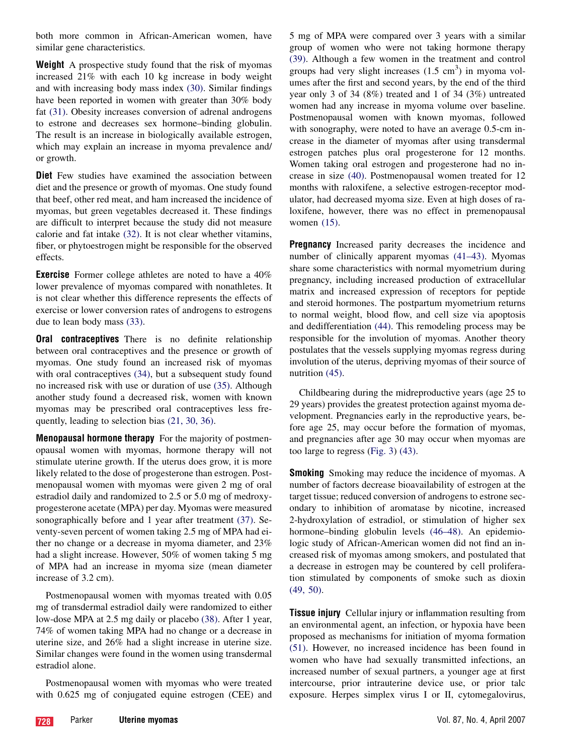both more common in African-American women, have similar gene characteristics.

**Weight** A prospective study found that the risk of myomas increased 21% with each 10 kg increase in body weight and with increasing body mass index [\(30\)](#page-9-0). Similar findings have been reported in women with greater than 30% body fat [\(31\)](#page-9-0). Obesity increases conversion of adrenal androgens to estrone and decreases sex hormone–binding globulin. The result is an increase in biologically available estrogen, which may explain an increase in myoma prevalence and/ or growth.

**Diet** Few studies have examined the association between diet and the presence or growth of myomas. One study found that beef, other red meat, and ham increased the incidence of myomas, but green vegetables decreased it. These findings are difficult to interpret because the study did not measure calorie and fat intake [\(32\)](#page-9-0). It is not clear whether vitamins, fiber, or phytoestrogen might be responsible for the observed effects.

**Exercise** Former college athletes are noted to have a 40% lower prevalence of myomas compared with nonathletes. It is not clear whether this difference represents the effects of exercise or lower conversion rates of androgens to estrogens due to lean body mass [\(33\)](#page-9-0).

**Oral contraceptives** There is no definite relationship between oral contraceptives and the presence or growth of myomas. One study found an increased risk of myomas with oral contraceptives  $(34)$ , but a subsequent study found no increased risk with use or duration of use [\(35\).](#page-9-0) Although another study found a decreased risk, women with known myomas may be prescribed oral contraceptives less frequently, leading to selection bias [\(21, 30, 36\)](#page-9-0).

Menopausal hormone therapy For the majority of postmenopausal women with myomas, hormone therapy will not stimulate uterine growth. If the uterus does grow, it is more likely related to the dose of progesterone than estrogen. Postmenopausal women with myomas were given 2 mg of oral estradiol daily and randomized to 2.5 or 5.0 mg of medroxyprogesterone acetate (MPA) per day. Myomas were measured sonographically before and 1 year after treatment [\(37\).](#page-9-0) Seventy-seven percent of women taking 2.5 mg of MPA had either no change or a decrease in myoma diameter, and 23% had a slight increase. However, 50% of women taking 5 mg of MPA had an increase in myoma size (mean diameter increase of 3.2 cm).

Postmenopausal women with myomas treated with 0.05 mg of transdermal estradiol daily were randomized to either low-dose MPA at 2.5 mg daily or placebo [\(38\)](#page-9-0). After 1 year, 74% of women taking MPA had no change or a decrease in uterine size, and 26% had a slight increase in uterine size. Similar changes were found in the women using transdermal estradiol alone.

Postmenopausal women with myomas who were treated with 0.625 mg of conjugated equine estrogen (CEE) and 5 mg of MPA were compared over 3 years with a similar group of women who were not taking hormone therapy [\(39\).](#page-9-0) Although a few women in the treatment and control groups had very slight increases  $(1.5 \text{ cm}^3)$  in myoma volumes after the first and second years, by the end of the third year only 3 of 34 (8%) treated and 1 of 34 (3%) untreated women had any increase in myoma volume over baseline. Postmenopausal women with known myomas, followed with sonography, were noted to have an average 0.5-cm increase in the diameter of myomas after using transdermal estrogen patches plus oral progesterone for 12 months. Women taking oral estrogen and progesterone had no increase in size [\(40\).](#page-9-0) Postmenopausal women treated for 12 months with raloxifene, a selective estrogen-receptor modulator, had decreased myoma size. Even at high doses of raloxifene, however, there was no effect in premenopausal women [\(15\).](#page-9-0)

**Pregnancy** Increased parity decreases the incidence and number of clinically apparent myomas [\(41–43\).](#page-9-0) Myomas share some characteristics with normal myometrium during pregnancy, including increased production of extracellular matrix and increased expression of receptors for peptide and steroid hormones. The postpartum myometrium returns to normal weight, blood flow, and cell size via apoptosis and dedifferentiation [\(44\).](#page-9-0) This remodeling process may be responsible for the involution of myomas. Another theory postulates that the vessels supplying myomas regress during involution of the uterus, depriving myomas of their source of nutrition [\(45\).](#page-10-0)

Childbearing during the midreproductive years (age 25 to 29 years) provides the greatest protection against myoma development. Pregnancies early in the reproductive years, before age 25, may occur before the formation of myomas, and pregnancies after age 30 may occur when myomas are too large to regress [\(Fig. 3\)](#page-4-0) [\(43\)](#page-9-0).

**Smoking** Smoking may reduce the incidence of myomas. A number of factors decrease bioavailability of estrogen at the target tissue; reduced conversion of androgens to estrone secondary to inhibition of aromatase by nicotine, increased 2-hydroxylation of estradiol, or stimulation of higher sex hormone–binding globulin levels [\(46–48\).](#page-10-0) An epidemiologic study of African-American women did not find an increased risk of myomas among smokers, and postulated that a decrease in estrogen may be countered by cell proliferation stimulated by components of smoke such as dioxin [\(49, 50\).](#page-10-0)

**Tissue injury** Cellular injury or inflammation resulting from an environmental agent, an infection, or hypoxia have been proposed as mechanisms for initiation of myoma formation [\(51\).](#page-10-0) However, no increased incidence has been found in women who have had sexually transmitted infections, an increased number of sexual partners, a younger age at first intercourse, prior intrauterine device use, or prior talc exposure. Herpes simplex virus I or II, cytomegalovirus,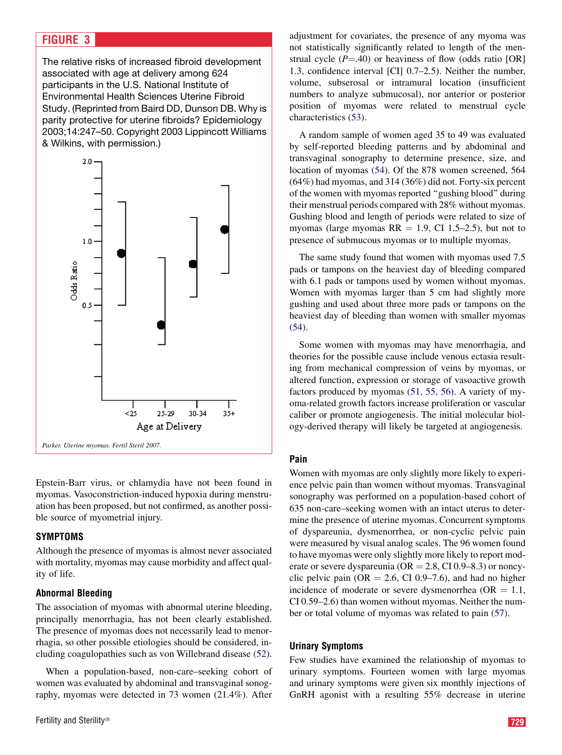# <span id="page-4-0"></span>FIGURE 3

The relative risks of increased fibroid development associated with age at delivery among 624 participants in the U.S. National Institute of Environmental Health Sciences Uterine Fibroid Study. (Reprinted from Baird DD, Dunson DB. Why is parity protective for uterine fibroids? Epidemiology 2003;14:247–50. Copyright 2003 Lippincott Williams & Wilkins, with permission.)



Epstein-Barr virus, or chlamydia have not been found in myomas. Vasoconstriction-induced hypoxia during menstruation has been proposed, but not confirmed, as another possible source of myometrial injury.

# SYMPTOMS

Although the presence of myomas is almost never associated with mortality, myomas may cause morbidity and affect quality of life.

## Abnormal Bleeding

The association of myomas with abnormal uterine bleeding, principally menorrhagia, has not been clearly established. The presence of myomas does not necessarily lead to menorrhagia, so other possible etiologies should be considered, including coagulopathies such as von Willebrand disease [\(52\)](#page-10-0).

When a population-based, non-care–seeking cohort of women was evaluated by abdominal and transvaginal sonography, myomas were detected in 73 women (21.4%). After adjustment for covariates, the presence of any myoma was not statistically significantly related to length of the menstrual cycle  $(P = .40)$  or heaviness of flow (odds ratio [OR] 1.3, confidence interval [CI] 0.7–2.5). Neither the number, volume, subserosal or intramural location (insufficient numbers to analyze submucosal), nor anterior or posterior position of myomas were related to menstrual cycle characteristics [\(53\).](#page-10-0)

A random sample of women aged 35 to 49 was evaluated by self-reported bleeding patterns and by abdominal and transvaginal sonography to determine presence, size, and location of myomas [\(54\).](#page-10-0) Of the 878 women screened, 564 (64%) had myomas, and 314 (36%) did not. Forty-six percent of the women with myomas reported ''gushing blood'' during their menstrual periods compared with 28% without myomas. Gushing blood and length of periods were related to size of myomas (large myomas  $RR = 1.9$ , CI 1.5–2.5), but not to presence of submucous myomas or to multiple myomas.

The same study found that women with myomas used 7.5 pads or tampons on the heaviest day of bleeding compared with 6.1 pads or tampons used by women without myomas. Women with myomas larger than 5 cm had slightly more gushing and used about three more pads or tampons on the heaviest day of bleeding than women with smaller myomas [\(54\).](#page-10-0)

Some women with myomas may have menorrhagia, and theories for the possible cause include venous ectasia resulting from mechanical compression of veins by myomas, or altered function, expression or storage of vasoactive growth factors produced by myomas [\(51, 55, 56\).](#page-10-0) A variety of myoma-related growth factors increase proliferation or vascular caliber or promote angiogenesis. The initial molecular biology-derived therapy will likely be targeted at angiogenesis.

# Pain

Women with myomas are only slightly more likely to experience pelvic pain than women without myomas. Transvaginal sonography was performed on a population-based cohort of 635 non-care–seeking women with an intact uterus to determine the presence of uterine myomas. Concurrent symptoms of dyspareunia, dysmenorrhea, or non-cyclic pelvic pain were measured by visual analog scales. The 96 women found to have myomas were only slightly more likely to report moderate or severe dyspareunia ( $OR = 2.8$ , CI 0.9–8.3) or noncyclic pelvic pain (OR  $= 2.6$ , CI 0.9–7.6), and had no higher incidence of moderate or severe dysmenorrhea ( $OR = 1.1$ , CI 0.59–2.6) than women without myomas. Neither the number or total volume of myomas was related to pain [\(57\)](#page-10-0).

#### Urinary Symptoms

Few studies have examined the relationship of myomas to urinary symptoms. Fourteen women with large myomas and urinary symptoms were given six monthly injections of GnRH agonist with a resulting 55% decrease in uterine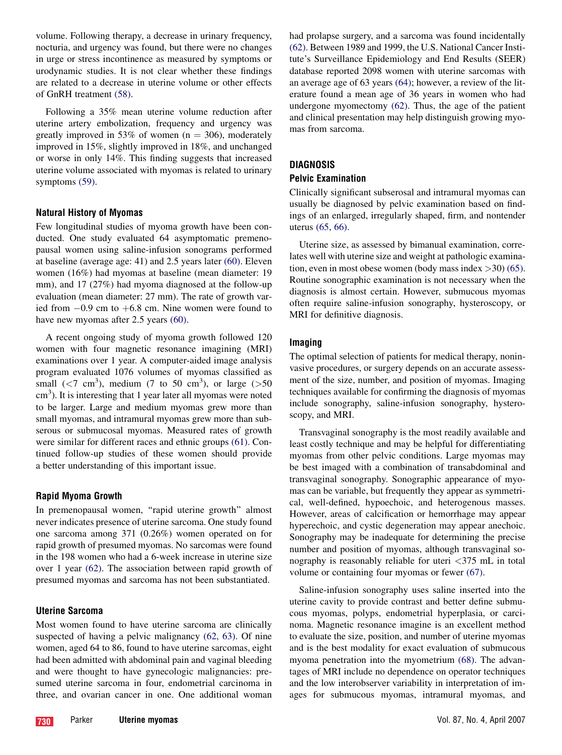volume. Following therapy, a decrease in urinary frequency, nocturia, and urgency was found, but there were no changes in urge or stress incontinence as measured by symptoms or urodynamic studies. It is not clear whether these findings are related to a decrease in uterine volume or other effects of GnRH treatment [\(58\)](#page-10-0).

Following a 35% mean uterine volume reduction after uterine artery embolization, frequency and urgency was greatly improved in 53% of women ( $n = 306$ ), moderately improved in 15%, slightly improved in 18%, and unchanged or worse in only 14%. This finding suggests that increased uterine volume associated with myomas is related to urinary symptoms [\(59\)](#page-10-0).

## Natural History of Myomas

Few longitudinal studies of myoma growth have been conducted. One study evaluated 64 asymptomatic premenopausal women using saline-infusion sonograms performed at baseline (average age: 41) and 2.5 years later [\(60\)](#page-10-0). Eleven women (16%) had myomas at baseline (mean diameter: 19 mm), and 17 (27%) had myoma diagnosed at the follow-up evaluation (mean diameter: 27 mm). The rate of growth varied from  $-0.9$  cm to  $+6.8$  cm. Nine women were found to have new myomas after 2.5 years [\(60\)](#page-10-0).

A recent ongoing study of myoma growth followed 120 women with four magnetic resonance imagining (MRI) examinations over 1 year. A computer-aided image analysis program evaluated 1076 volumes of myomas classified as small  $( $7 \text{ cm}^3$ ), medium (7 to 50 cm<sup>3</sup>), or large (>50$ cm<sup>3</sup>). It is interesting that 1 year later all myomas were noted to be larger. Large and medium myomas grew more than small myomas, and intramural myomas grew more than subserous or submucosal myomas. Measured rates of growth were similar for different races and ethnic groups [\(61\).](#page-10-0) Continued follow-up studies of these women should provide a better understanding of this important issue.

#### Rapid Myoma Growth

In premenopausal women, ''rapid uterine growth'' almost never indicates presence of uterine sarcoma. One study found one sarcoma among 371 (0.26%) women operated on for rapid growth of presumed myomas. No sarcomas were found in the 198 women who had a 6-week increase in uterine size over 1 year [\(62\)](#page-10-0). The association between rapid growth of presumed myomas and sarcoma has not been substantiated.

#### Uterine Sarcoma

Most women found to have uterine sarcoma are clinically suspected of having a pelvic malignancy [\(62, 63\)](#page-10-0). Of nine women, aged 64 to 86, found to have uterine sarcomas, eight had been admitted with abdominal pain and vaginal bleeding and were thought to have gynecologic malignancies: presumed uterine sarcoma in four, endometrial carcinoma in three, and ovarian cancer in one. One additional woman had prolapse surgery, and a sarcoma was found incidentally [\(62\).](#page-10-0) Between 1989 and 1999, the U.S. National Cancer Institute's Surveillance Epidemiology and End Results (SEER) database reported 2098 women with uterine sarcomas with an average age of 63 years [\(64\);](#page-10-0) however, a review of the literature found a mean age of 36 years in women who had undergone myomectomy [\(62\)](#page-10-0). Thus, the age of the patient and clinical presentation may help distinguish growing myomas from sarcoma.

## DIAGNOSIS

#### Pelvic Examination

Clinically significant subserosal and intramural myomas can usually be diagnosed by pelvic examination based on findings of an enlarged, irregularly shaped, firm, and nontender uterus [\(65, 66\)](#page-10-0).

Uterine size, as assessed by bimanual examination, correlates well with uterine size and weight at pathologic examination, even in most obese women (body mass index  $>$ 30) [\(65\)](#page-10-0). Routine sonographic examination is not necessary when the diagnosis is almost certain. However, submucous myomas often require saline-infusion sonography, hysteroscopy, or MRI for definitive diagnosis.

## Imaging

The optimal selection of patients for medical therapy, noninvasive procedures, or surgery depends on an accurate assessment of the size, number, and position of myomas. Imaging techniques available for confirming the diagnosis of myomas include sonography, saline-infusion sonography, hysteroscopy, and MRI.

Transvaginal sonography is the most readily available and least costly technique and may be helpful for differentiating myomas from other pelvic conditions. Large myomas may be best imaged with a combination of transabdominal and transvaginal sonography. Sonographic appearance of myomas can be variable, but frequently they appear as symmetrical, well-defined, hypoechoic, and heterogenous masses. However, areas of calcification or hemorrhage may appear hyperechoic, and cystic degeneration may appear anechoic. Sonography may be inadequate for determining the precise number and position of myomas, although transvaginal sonography is reasonably reliable for uteri  $\langle 375 \text{ mL} \rangle$  in total volume or containing four myomas or fewer [\(67\)](#page-10-0).

Saline-infusion sonography uses saline inserted into the uterine cavity to provide contrast and better define submucous myomas, polyps, endometrial hyperplasia, or carcinoma. Magnetic resonance imagine is an excellent method to evaluate the size, position, and number of uterine myomas and is the best modality for exact evaluation of submucous myoma penetration into the myometrium [\(68\).](#page-10-0) The advantages of MRI include no dependence on operator techniques and the low interobserver variability in interpretation of images for submucous myomas, intramural myomas, and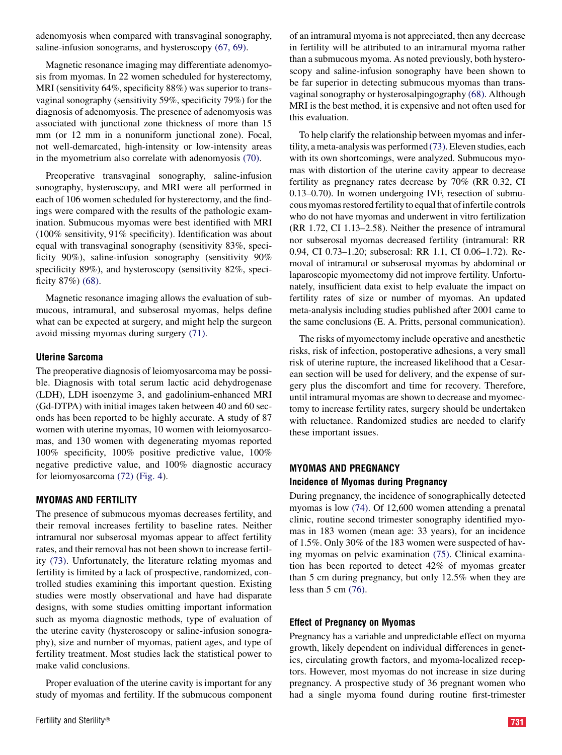adenomyosis when compared with transvaginal sonography, saline-infusion sonograms, and hysteroscopy [\(67, 69\)](#page-10-0).

Magnetic resonance imaging may differentiate adenomyosis from myomas. In 22 women scheduled for hysterectomy, MRI (sensitivity 64%, specificity 88%) was superior to transvaginal sonography (sensitivity 59%, specificity 79%) for the diagnosis of adenomyosis. The presence of adenomyosis was associated with junctional zone thickness of more than 15 mm (or 12 mm in a nonuniform junctional zone). Focal, not well-demarcated, high-intensity or low-intensity areas in the myometrium also correlate with adenomyosis [\(70\).](#page-10-0)

Preoperative transvaginal sonography, saline-infusion sonography, hysteroscopy, and MRI were all performed in each of 106 women scheduled for hysterectomy, and the findings were compared with the results of the pathologic examination. Submucous myomas were best identified with MRI (100% sensitivity, 91% specificity). Identification was about equal with transvaginal sonography (sensitivity 83%, specificity 90%), saline-infusion sonography (sensitivity 90% specificity 89%), and hysteroscopy (sensitivity 82%, specificity 87%) [\(68\)](#page-10-0).

Magnetic resonance imaging allows the evaluation of submucous, intramural, and subserosal myomas, helps define what can be expected at surgery, and might help the surgeon avoid missing myomas during surgery [\(71\)](#page-10-0).

# Uterine Sarcoma

The preoperative diagnosis of leiomyosarcoma may be possible. Diagnosis with total serum lactic acid dehydrogenase (LDH), LDH isoenzyme 3, and gadolinium-enhanced MRI (Gd-DTPA) with initial images taken between 40 and 60 seconds has been reported to be highly accurate. A study of 87 women with uterine myomas, 10 women with leiomyosarcomas, and 130 women with degenerating myomas reported 100% specificity, 100% positive predictive value, 100% negative predictive value, and 100% diagnostic accuracy for leiomyosarcoma [\(72\)](#page-10-0) [\(Fig. 4\)](#page-7-0).

# MYOMAS AND FERTILITY

The presence of submucous myomas decreases fertility, and their removal increases fertility to baseline rates. Neither intramural nor subserosal myomas appear to affect fertility rates, and their removal has not been shown to increase fertility [\(73\).](#page-10-0) Unfortunately, the literature relating myomas and fertility is limited by a lack of prospective, randomized, controlled studies examining this important question. Existing studies were mostly observational and have had disparate designs, with some studies omitting important information such as myoma diagnostic methods, type of evaluation of the uterine cavity (hysteroscopy or saline-infusion sonography), size and number of myomas, patient ages, and type of fertility treatment. Most studies lack the statistical power to make valid conclusions.

Proper evaluation of the uterine cavity is important for any study of myomas and fertility. If the submucous component of an intramural myoma is not appreciated, then any decrease in fertility will be attributed to an intramural myoma rather than a submucous myoma. As noted previously, both hysteroscopy and saline-infusion sonography have been shown to be far superior in detecting submucous myomas than transvaginal sonography or hysterosalpingography [\(68\).](#page-10-0) Although MRI is the best method, it is expensive and not often used for this evaluation.

To help clarify the relationship between myomas and infertility, a meta-analysis was performed [\(73\).](#page-10-0) Eleven studies, each with its own shortcomings, were analyzed. Submucous myomas with distortion of the uterine cavity appear to decrease fertility as pregnancy rates decrease by 70% (RR 0.32, CI 0.13–0.70). In women undergoing IVF, resection of submucous myomas restored fertility to equal that of infertile controls who do not have myomas and underwent in vitro fertilization (RR 1.72, CI 1.13–2.58). Neither the presence of intramural nor subserosal myomas decreased fertility (intramural: RR 0.94, CI 0.73–1.20; subserosal: RR 1.1, CI 0.06–1.72). Removal of intramural or subserosal myomas by abdominal or laparoscopic myomectomy did not improve fertility. Unfortunately, insufficient data exist to help evaluate the impact on fertility rates of size or number of myomas. An updated meta-analysis including studies published after 2001 came to the same conclusions (E. A. Pritts, personal communication).

The risks of myomectomy include operative and anesthetic risks, risk of infection, postoperative adhesions, a very small risk of uterine rupture, the increased likelihood that a Cesarean section will be used for delivery, and the expense of surgery plus the discomfort and time for recovery. Therefore, until intramural myomas are shown to decrease and myomectomy to increase fertility rates, surgery should be undertaken with reluctance. Randomized studies are needed to clarify these important issues.

# MYOMAS AND PREGNANCY

# Incidence of Myomas during Pregnancy

During pregnancy, the incidence of sonographically detected myomas is low [\(74\).](#page-10-0) Of 12,600 women attending a prenatal clinic, routine second trimester sonography identified myomas in 183 women (mean age: 33 years), for an incidence of 1.5%. Only 30% of the 183 women were suspected of having myomas on pelvic examination [\(75\).](#page-10-0) Clinical examination has been reported to detect 42% of myomas greater than 5 cm during pregnancy, but only 12.5% when they are less than  $5 \text{ cm} (76)$  $5 \text{ cm} (76)$ .

# Effect of Pregnancy on Myomas

Pregnancy has a variable and unpredictable effect on myoma growth, likely dependent on individual differences in genetics, circulating growth factors, and myoma-localized receptors. However, most myomas do not increase in size during pregnancy. A prospective study of 36 pregnant women who had a single myoma found during routine first-trimester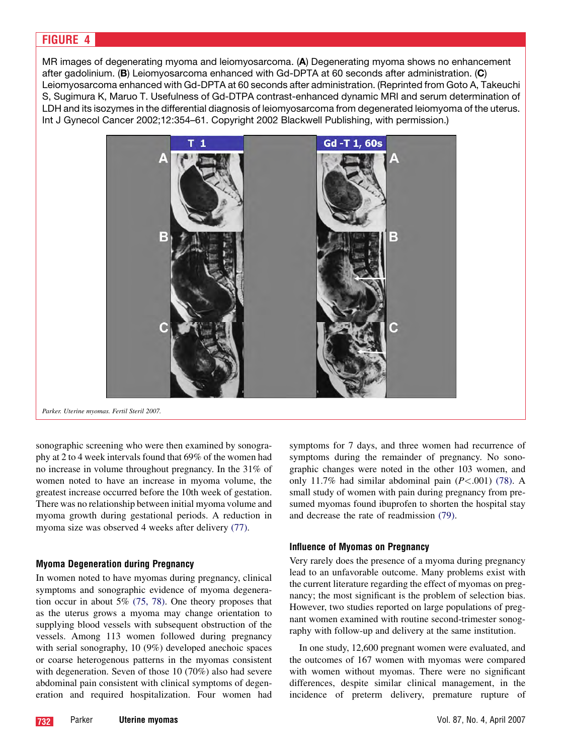# <span id="page-7-0"></span>FIGURE 4

MR images of degenerating myoma and leiomyosarcoma. (A) Degenerating myoma shows no enhancement after gadolinium. (B) Leiomyosarcoma enhanced with Gd-DPTA at 60 seconds after administration. (C) Leiomyosarcoma enhanced with Gd-DPTA at 60 seconds after administration. (Reprinted from Goto A, Takeuchi S, Sugimura K, Maruo T. Usefulness of Gd-DTPA contrast-enhanced dynamic MRI and serum determination of LDH and its isozymes in the differential diagnosis of leiomyosarcoma from degenerated leiomyoma of the uterus. Int J Gynecol Cancer 2002;12:354–61. Copyright 2002 Blackwell Publishing, with permission.)



Parker. Uterine myomas. Fertil Steril 2007.

sonographic screening who were then examined by sonography at 2 to 4 week intervals found that 69% of the women had no increase in volume throughout pregnancy. In the 31% of women noted to have an increase in myoma volume, the greatest increase occurred before the 10th week of gestation. There was no relationship between initial myoma volume and myoma growth during gestational periods. A reduction in myoma size was observed 4 weeks after delivery [\(77\).](#page-10-0)

# Myoma Degeneration during Pregnancy

In women noted to have myomas during pregnancy, clinical symptoms and sonographic evidence of myoma degeneration occur in about 5% [\(75, 78\)](#page-10-0). One theory proposes that as the uterus grows a myoma may change orientation to supplying blood vessels with subsequent obstruction of the vessels. Among 113 women followed during pregnancy with serial sonography, 10 (9%) developed anechoic spaces or coarse heterogenous patterns in the myomas consistent with degeneration. Seven of those 10 (70%) also had severe abdominal pain consistent with clinical symptoms of degeneration and required hospitalization. Four women had symptoms for 7 days, and three women had recurrence of symptoms during the remainder of pregnancy. No sonographic changes were noted in the other 103 women, and only 11.7% had similar abdominal pain  $(P<.001)$  [\(78\)](#page-10-0). A small study of women with pain during pregnancy from presumed myomas found ibuprofen to shorten the hospital stay and decrease the rate of readmission [\(79\)](#page-10-0).

# Influence of Myomas on Pregnancy

Very rarely does the presence of a myoma during pregnancy lead to an unfavorable outcome. Many problems exist with the current literature regarding the effect of myomas on pregnancy; the most significant is the problem of selection bias. However, two studies reported on large populations of pregnant women examined with routine second-trimester sonography with follow-up and delivery at the same institution.

In one study, 12,600 pregnant women were evaluated, and the outcomes of 167 women with myomas were compared with women without myomas. There were no significant differences, despite similar clinical management, in the incidence of preterm delivery, premature rupture of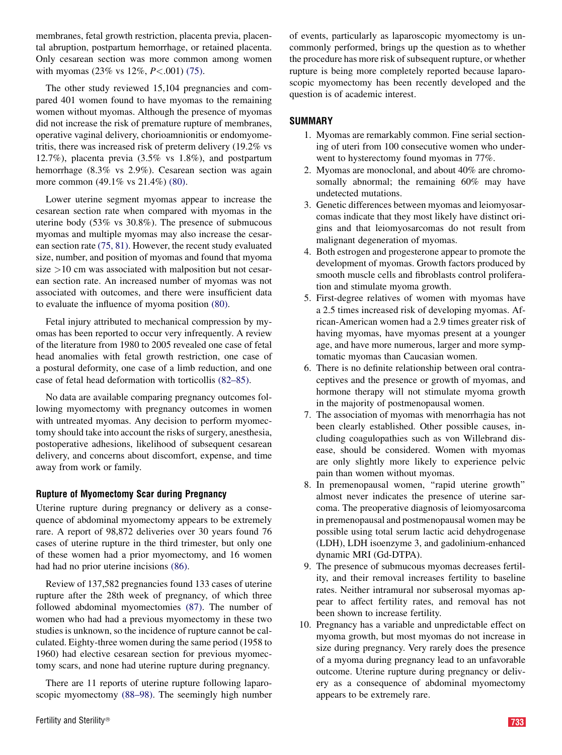membranes, fetal growth restriction, placenta previa, placental abruption, postpartum hemorrhage, or retained placenta. Only cesarean section was more common among women with myomas (23% vs 12%, *P*<.001) [\(75\).](#page-10-0)

The other study reviewed 15,104 pregnancies and compared 401 women found to have myomas to the remaining women without myomas. Although the presence of myomas did not increase the risk of premature rupture of membranes, operative vaginal delivery, chorioamnionitis or endomyometritis, there was increased risk of preterm delivery (19.2% vs 12.7%), placenta previa (3.5% vs 1.8%), and postpartum hemorrhage (8.3% vs 2.9%). Cesarean section was again more common (49.1% vs 21.4%) [\(80\)](#page-10-0).

Lower uterine segment myomas appear to increase the cesarean section rate when compared with myomas in the uterine body (53% vs 30.8%). The presence of submucous myomas and multiple myomas may also increase the cesarean section rate [\(75, 81\).](#page-10-0) However, the recent study evaluated size, number, and position of myomas and found that myoma size >10 cm was associated with malposition but not cesarean section rate. An increased number of myomas was not associated with outcomes, and there were insufficient data to evaluate the influence of myoma position [\(80\)](#page-10-0).

Fetal injury attributed to mechanical compression by myomas has been reported to occur very infrequently. A review of the literature from 1980 to 2005 revealed one case of fetal head anomalies with fetal growth restriction, one case of a postural deformity, one case of a limb reduction, and one case of fetal head deformation with torticollis [\(82–85\)](#page-10-0).

No data are available comparing pregnancy outcomes following myomectomy with pregnancy outcomes in women with untreated myomas. Any decision to perform myomectomy should take into account the risks of surgery, anesthesia, postoperative adhesions, likelihood of subsequent cesarean delivery, and concerns about discomfort, expense, and time away from work or family.

# Rupture of Myomectomy Scar during Pregnancy

Uterine rupture during pregnancy or delivery as a consequence of abdominal myomectomy appears to be extremely rare. A report of 98,872 deliveries over 30 years found 76 cases of uterine rupture in the third trimester, but only one of these women had a prior myomectomy, and 16 women had had no prior uterine incisions [\(86\)](#page-10-0).

Review of 137,582 pregnancies found 133 cases of uterine rupture after the 28th week of pregnancy, of which three followed abdominal myomectomies [\(87\)](#page-10-0). The number of women who had had a previous myomectomy in these two studies is unknown, so the incidence of rupture cannot be calculated. Eighty-three women during the same period (1958 to 1960) had elective cesarean section for previous myomectomy scars, and none had uterine rupture during pregnancy.

There are 11 reports of uterine rupture following laparoscopic myomectomy [\(88–98\).](#page-10-0) The seemingly high number of events, particularly as laparoscopic myomectomy is uncommonly performed, brings up the question as to whether the procedure has more risk of subsequent rupture, or whether rupture is being more completely reported because laparoscopic myomectomy has been recently developed and the question is of academic interest.

# SUMMARY

- 1. Myomas are remarkably common. Fine serial sectioning of uteri from 100 consecutive women who underwent to hysterectomy found myomas in 77%.
- 2. Myomas are monoclonal, and about 40% are chromosomally abnormal; the remaining 60% may have undetected mutations.
- 3. Genetic differences between myomas and leiomyosarcomas indicate that they most likely have distinct origins and that leiomyosarcomas do not result from malignant degeneration of myomas.
- 4. Both estrogen and progesterone appear to promote the development of myomas. Growth factors produced by smooth muscle cells and fibroblasts control proliferation and stimulate myoma growth.
- 5. First-degree relatives of women with myomas have a 2.5 times increased risk of developing myomas. African-American women had a 2.9 times greater risk of having myomas, have myomas present at a younger age, and have more numerous, larger and more symptomatic myomas than Caucasian women.
- 6. There is no definite relationship between oral contraceptives and the presence or growth of myomas, and hormone therapy will not stimulate myoma growth in the majority of postmenopausal women.
- 7. The association of myomas with menorrhagia has not been clearly established. Other possible causes, including coagulopathies such as von Willebrand disease, should be considered. Women with myomas are only slightly more likely to experience pelvic pain than women without myomas.
- 8. In premenopausal women, ''rapid uterine growth'' almost never indicates the presence of uterine sarcoma. The preoperative diagnosis of leiomyosarcoma in premenopausal and postmenopausal women may be possible using total serum lactic acid dehydrogenase (LDH), LDH isoenzyme 3, and gadolinium-enhanced dynamic MRI (Gd-DTPA).
- 9. The presence of submucous myomas decreases fertility, and their removal increases fertility to baseline rates. Neither intramural nor subserosal myomas appear to affect fertility rates, and removal has not been shown to increase fertility.
- 10. Pregnancy has a variable and unpredictable effect on myoma growth, but most myomas do not increase in size during pregnancy. Very rarely does the presence of a myoma during pregnancy lead to an unfavorable outcome. Uterine rupture during pregnancy or delivery as a consequence of abdominal myomectomy appears to be extremely rare.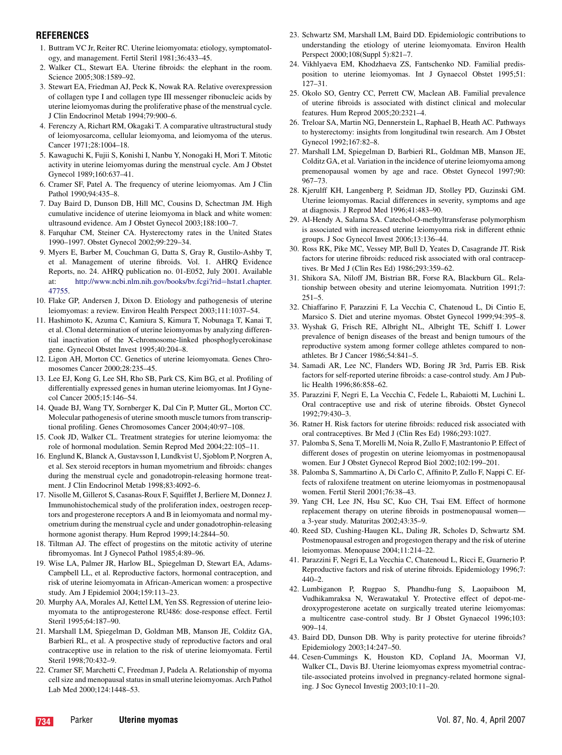## <span id="page-9-0"></span>**REFERENCES**

- 1. Buttram VC Jr, Reiter RC. Uterine leiomyomata: etiology, symptomatology, and management. Fertil Steril 1981;36:433–45.
- 2. Walker CL, Stewart EA. Uterine fibroids: the elephant in the room. Science 2005;308:1589–92.
- 3. Stewart EA, Friedman AJ, Peck K, Nowak RA. Relative overexpression of collagen type I and collagen type III messenger ribonucleic acids by uterine leiomyomas during the proliferative phase of the menstrual cycle. J Clin Endocrinol Metab 1994;79:900–6.
- 4. Ferenczy A, Richart RM, Okagaki T. A comparative ultrastructural study of leiomyosarcoma, cellular leiomyoma, and leiomyoma of the uterus. Cancer 1971;28:1004–18.
- 5. Kawaguchi K, Fujii S, Konishi I, Nanbu Y, Nonogaki H, Mori T. Mitotic activity in uterine leiomyomas during the menstrual cycle. Am J Obstet Gynecol 1989;160:637–41.
- 6. Cramer SF, Patel A. The frequency of uterine leiomyomas. Am J Clin Pathol 1990;94:435–8.
- 7. Day Baird D, Dunson DB, Hill MC, Cousins D, Schectman JM. High cumulative incidence of uterine leiomyoma in black and white women: ultrasound evidence. Am J Obstet Gynecol 2003;188:100–7.
- 8. Farquhar CM, Steiner CA. Hysterectomy rates in the United States 1990–1997. Obstet Gynecol 2002;99:229–34.
- 9. Myers E, Barber M, Couchman G, Datta S, Gray R, Gustilo-Ashby T, et al. Management of uterine fibroids. Vol. 1. AHRQ Evidence Reports, no. 24. AHRQ publication no. 01-E052, July 2001. Available at: [http://www.ncbi.nlm.nih.gov/books/bv.fcgi?rid](http://www.ncbi.nlm.nih.gov/books/bv.fcgi?rid=hstat1.chapter.47755)=[hstat1.chapter.](http://www.ncbi.nlm.nih.gov/books/bv.fcgi?rid=hstat1.chapter.47755) [47755.](http://www.ncbi.nlm.nih.gov/books/bv.fcgi?rid=hstat1.chapter.47755)
- 10. Flake GP, Andersen J, Dixon D. Etiology and pathogenesis of uterine leiomyomas: a review. Environ Health Perspect 2003;111:1037–54.
- 11. Hashimoto K, Azuma C, Kamiura S, Kimura T, Nobunaga T, Kanai T, et al. Clonal determination of uterine leiomyomas by analyzing differential inactivation of the X-chromosome-linked phosphoglycerokinase gene. Gynecol Obstet Invest 1995;40:204–8.
- 12. Ligon AH, Morton CC. Genetics of uterine leiomyomata. Genes Chromosomes Cancer 2000;28:235–45.
- 13. Lee EJ, Kong G, Lee SH, Rho SB, Park CS, Kim BG, et al. Profiling of differentially expressed genes in human uterine leiomyomas. Int J Gynecol Cancer 2005;15:146–54.
- 14. Quade BJ, Wang TY, Sornberger K, Dal Cin P, Mutter GL, Morton CC. Molecular pathogenesis of uterine smooth muscle tumors from transcriptional profiling. Genes Chromosomes Cancer 2004;40:97–108.
- 15. Cook JD, Walker CL. Treatment strategies for uterine leiomyoma: the role of hormonal modulation. Semin Reprod Med 2004;22:105–11.
- 16. Englund K, Blanck A, Gustavsson I, Lundkvist U, Sjoblom P, Norgren A, et al. Sex steroid receptors in human myometrium and fibroids: changes during the menstrual cycle and gonadotropin-releasing hormone treatment. J Clin Endocrinol Metab 1998;83:4092–6.
- 17. Nisolle M, Gillerot S, Casanas-Roux F, Squifflet J, Berliere M, Donnez J. Immunohistochemical study of the proliferation index, oestrogen receptors and progesterone receptors A and B in leiomyomata and normal myometrium during the menstrual cycle and under gonadotrophin-releasing hormone agonist therapy. Hum Reprod 1999;14:2844–50.
- 18. Tiltman AJ. The effect of progestins on the mitotic activity of uterine fibromyomas. Int J Gynecol Pathol 1985;4:89–96.
- 19. Wise LA, Palmer JR, Harlow BL, Spiegelman D, Stewart EA, Adams-Campbell LL, et al. Reproductive factors, hormonal contraception, and risk of uterine leiomyomata in African-American women: a prospective study. Am J Epidemiol 2004;159:113–23.
- 20. Murphy AA, Morales AJ, Kettel LM, Yen SS. Regression of uterine leiomyomata to the antiprogesterone RU486: dose-response effect. Fertil Steril 1995;64:187–90.
- 21. Marshall LM, Spiegelman D, Goldman MB, Manson JE, Colditz GA, Barbieri RL, et al. A prospective study of reproductive factors and oral contraceptive use in relation to the risk of uterine leiomyomata. Fertil Steril 1998;70:432–9.
- 22. Cramer SF, Marchetti C, Freedman J, Padela A. Relationship of myoma cell size and menopausal status in small uterine leiomyomas. Arch Pathol Lab Med 2000;124:1448–53.
- 23. Schwartz SM, Marshall LM, Baird DD. Epidemiologic contributions to understanding the etiology of uterine leiomyomata. Environ Health Perspect 2000;108(Suppl 5):821–7.
- 24. Vikhlyaeva EM, Khodzhaeva ZS, Fantschenko ND. Familial predisposition to uterine leiomyomas. Int J Gynaecol Obstet 1995;51: 127–31.
- 25. Okolo SO, Gentry CC, Perrett CW, Maclean AB. Familial prevalence of uterine fibroids is associated with distinct clinical and molecular features. Hum Reprod 2005;20:2321–4.
- 26. Treloar SA, Martin NG, Dennerstein L, Raphael B, Heath AC. Pathways to hysterectomy: insights from longitudinal twin research. Am J Obstet Gynecol 1992;167:82–8.
- 27. Marshall LM, Spiegelman D, Barbieri RL, Goldman MB, Manson JE, Colditz GA, et al. Variation in the incidence of uterine leiomyoma among premenopausal women by age and race. Obstet Gynecol 1997;90: 967–73.
- 28. Kjerulff KH, Langenberg P, Seidman JD, Stolley PD, Guzinski GM. Uterine leiomyomas. Racial differences in severity, symptoms and age at diagnosis. J Reprod Med 1996;41:483–90.
- 29. Al-Hendy A, Salama SA. Catechol-O-methyltransferase polymorphism is associated with increased uterine leiomyoma risk in different ethnic groups. J Soc Gynecol Invest 2006;13:136–44.
- 30. Ross RK, Pike MC, Vessey MP, Bull D, Yeates D, Casagrande JT. Risk factors for uterine fibroids: reduced risk associated with oral contraceptives. Br Med J (Clin Res Ed) 1986;293:359–62.
- 31. Shikora SA, Niloff JM, Bistrian BR, Forse RA, Blackburn GL. Relationship between obesity and uterine leiomyomata. Nutrition 1991;7:  $251 - 5.$
- 32. Chiaffarino F, Parazzini F, La Vecchia C, Chatenoud L, Di Cintio E, Marsico S. Diet and uterine myomas. Obstet Gynecol 1999;94:395–8.
- 33. Wyshak G, Frisch RE, Albright NL, Albright TE, Schiff I. Lower prevalence of benign diseases of the breast and benign tumours of the reproductive system among former college athletes compared to nonathletes. Br J Cancer 1986;54:841–5.
- 34. Samadi AR, Lee NC, Flanders WD, Boring JR 3rd, Parris EB. Risk factors for self-reported uterine fibroids: a case-control study. Am J Public Health 1996;86:858–62.
- 35. Parazzini F, Negri E, La Vecchia C, Fedele L, Rabaiotti M, Luchini L. Oral contraceptive use and risk of uterine fibroids. Obstet Gynecol 1992;79:430–3.
- 36. Ratner H. Risk factors for uterine fibroids: reduced risk associated with oral contraceptives. Br Med J (Clin Res Ed) 1986;293:1027.
- 37. Palomba S, Sena T, Morelli M, Noia R, Zullo F, Mastrantonio P. Effect of different doses of progestin on uterine leiomyomas in postmenopausal women. Eur J Obstet Gynecol Reprod Biol 2002;102:199–201.
- 38. Palomba S, Sammartino A, Di Carlo C, Affinito P, Zullo F, Nappi C. Effects of raloxifene treatment on uterine leiomyomas in postmenopausal women. Fertil Steril 2001;76:38–43.
- 39. Yang CH, Lee JN, Hsu SC, Kuo CH, Tsai EM. Effect of hormone replacement therapy on uterine fibroids in postmenopausal women a 3-year study. Maturitas 2002;43:35–9.
- 40. Reed SD, Cushing-Haugen KL, Daling JR, Scholes D, Schwartz SM. Postmenopausal estrogen and progestogen therapy and the risk of uterine leiomyomas. Menopause 2004;11:214–22.
- 41. Parazzini F, Negri E, La Vecchia C, Chatenoud L, Ricci E, Guarnerio P. Reproductive factors and risk of uterine fibroids. Epidemiology 1996;7: 440–2.
- 42. Lumbiganon P, Rugpao S, Phandhu-fung S, Laopaiboon M, Vudhikamraksa N, Werawatakul Y. Protective effect of depot-medroxyprogesterone acetate on surgically treated uterine leiomyomas: a multicentre case-control study. Br J Obstet Gynaecol 1996;103: 909–14.
- 43. Baird DD, Dunson DB. Why is parity protective for uterine fibroids? Epidemiology 2003;14:247–50.
- 44. Cesen-Cummings K, Houston KD, Copland JA, Moorman VJ, Walker CL, Davis BJ. Uterine leiomyomas express myometrial contractile-associated proteins involved in pregnancy-related hormone signaling. J Soc Gynecol Investig 2003;10:11–20.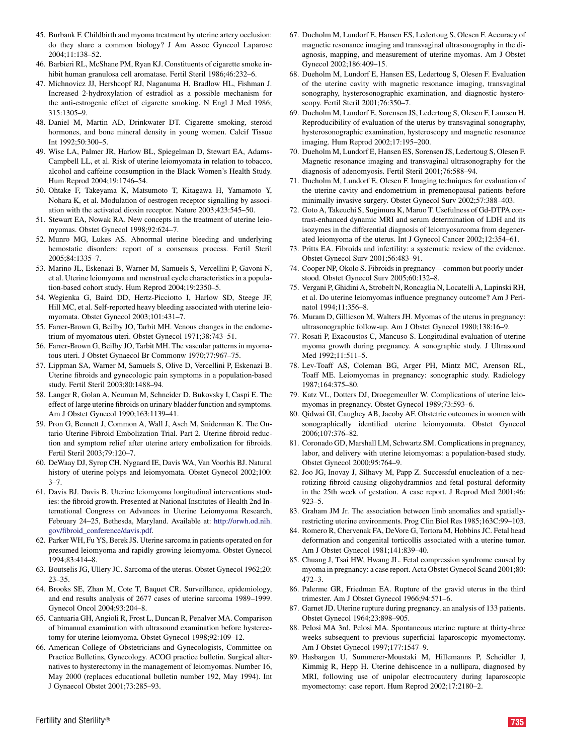- <span id="page-10-0"></span>45. Burbank F. Childbirth and myoma treatment by uterine artery occlusion: do they share a common biology? J Am Assoc Gynecol Laparosc 2004;11:138–52.
- 46. Barbieri RL, McShane PM, Ryan KJ. Constituents of cigarette smoke inhibit human granulosa cell aromatase. Fertil Steril 1986;46:232–6.
- 47. Michnovicz JJ, Hershcopf RJ, Naganuma H, Bradlow HL, Fishman J. Increased 2-hydroxylation of estradiol as a possible mechanism for the anti-estrogenic effect of cigarette smoking. N Engl J Med 1986; 315:1305–9.
- 48. Daniel M, Martin AD, Drinkwater DT. Cigarette smoking, steroid hormones, and bone mineral density in young women. Calcif Tissue Int 1992;50:300–5.
- 49. Wise LA, Palmer JR, Harlow BL, Spiegelman D, Stewart EA, Adams-Campbell LL, et al. Risk of uterine leiomyomata in relation to tobacco, alcohol and caffeine consumption in the Black Women's Health Study. Hum Reprod 2004;19:1746–54.
- 50. Ohtake F, Takeyama K, Matsumoto T, Kitagawa H, Yamamoto Y, Nohara K, et al. Modulation of oestrogen receptor signalling by association with the activated dioxin receptor. Nature 2003;423:545–50.
- 51. Stewart EA, Nowak RA. New concepts in the treatment of uterine leiomyomas. Obstet Gynecol 1998;92:624–7.
- 52. Munro MG, Lukes AS. Abnormal uterine bleeding and underlying hemostatic disorders: report of a consensus process. Fertil Steril 2005;84:1335–7.
- 53. Marino JL, Eskenazi B, Warner M, Samuels S, Vercellini P, Gavoni N, et al. Uterine leiomyoma and menstrual cycle characteristics in a population-based cohort study. Hum Reprod 2004;19:2350–5.
- 54. Wegienka G, Baird DD, Hertz-Picciotto I, Harlow SD, Steege JF, Hill MC, et al. Self-reported heavy bleeding associated with uterine leiomyomata. Obstet Gynecol 2003;101:431–7.
- 55. Farrer-Brown G, Beilby JO, Tarbit MH. Venous changes in the endometrium of myomatous uteri. Obstet Gynecol 1971;38:743–51.
- 56. Farrer-Brown G, Beilby JO, Tarbit MH. The vascular patterns in myomatous uteri. J Obstet Gynaecol Br Commonw 1970;77:967–75.
- 57. Lippman SA, Warner M, Samuels S, Olive D, Vercellini P, Eskenazi B. Uterine fibroids and gynecologic pain symptoms in a population-based study. Fertil Steril 2003;80:1488–94.
- 58. Langer R, Golan A, Neuman M, Schneider D, Bukovsky I, Caspi E. The effect of large uterine fibroids on urinary bladder function and symptoms. Am J Obstet Gynecol 1990;163:1139–41.
- 59. Pron G, Bennett J, Common A, Wall J, Asch M, Sniderman K. The Ontario Uterine Fibroid Embolization Trial. Part 2. Uterine fibroid reduction and symptom relief after uterine artery embolization for fibroids. Fertil Steril 2003;79:120–7.
- 60. DeWaay DJ, Syrop CH, Nygaard IE, Davis WA, Van Voorhis BJ. Natural history of uterine polyps and leiomyomata. Obstet Gynecol 2002;100: 3–7.
- 61. Davis BJ. Davis B. Uterine leiomyoma longitudinal interventions studies: the fibroid growth. Presented at National Institutes of Health 2nd International Congress on Advances in Uterine Leiomyoma Research, February 24–25, Bethesda, Maryland. Available at: [http://orwh.od.nih.](http://orwh.od.nih.gov/fibroid_conference/davis.pdf) [gov/fibroid\\_conference/davis.pdf.](http://orwh.od.nih.gov/fibroid_conference/davis.pdf)
- 62. Parker WH, Fu YS, Berek JS. Uterine sarcoma in patients operated on for presumed leiomyoma and rapidly growing leiomyoma. Obstet Gynecol 1994;83:414–8.
- 63. Boutselis JG, Ullery JC. Sarcoma of the uterus. Obstet Gynecol 1962;20: 23–35.
- 64. Brooks SE, Zhan M, Cote T, Baquet CR. Surveillance, epidemiology, and end results analysis of 2677 cases of uterine sarcoma 1989–1999. Gynecol Oncol 2004;93:204–8.
- 65. Cantuaria GH, Angioli R, Frost L, Duncan R, Penalver MA. Comparison of bimanual examination with ultrasound examination before hysterectomy for uterine leiomyoma. Obstet Gynecol 1998;92:109–12.
- 66. American College of Obstetricians and Gynecologists, Committee on Practice Bulletins, Gynecology. ACOG practice bulletin. Surgical alternatives to hysterectomy in the management of leiomyomas. Number 16, May 2000 (replaces educational bulletin number 192, May 1994). Int J Gynaecol Obstet 2001;73:285–93.
- 67. Dueholm M, Lundorf E, Hansen ES, Ledertoug S, Olesen F. Accuracy of magnetic resonance imaging and transvaginal ultrasonography in the diagnosis, mapping, and measurement of uterine myomas. Am J Obstet Gynecol 2002;186:409–15.
- 68. Dueholm M, Lundorf E, Hansen ES, Ledertoug S, Olesen F. Evaluation of the uterine cavity with magnetic resonance imaging, transvaginal sonography, hysterosonographic examination, and diagnostic hysteroscopy. Fertil Steril 2001;76:350–7.
- 69. Dueholm M, Lundorf E, Sorensen JS, Ledertoug S, Olesen F, Laursen H. Reproducibility of evaluation of the uterus by transvaginal sonography, hysterosonographic examination, hysteroscopy and magnetic resonance imaging. Hum Reprod 2002;17:195–200.
- 70. Dueholm M, Lundorf E, Hansen ES, Sorensen JS, Ledertoug S, Olesen F. Magnetic resonance imaging and transvaginal ultrasonography for the diagnosis of adenomyosis. Fertil Steril 2001;76:588–94.
- 71. Dueholm M, Lundorf E, Olesen F. Imaging techniques for evaluation of the uterine cavity and endometrium in premenopausal patients before minimally invasive surgery. Obstet Gynecol Surv 2002;57:388–403.
- 72. Goto A, Takeuchi S, Sugimura K, Maruo T. Usefulness of Gd-DTPA contrast-enhanced dynamic MRI and serum determination of LDH and its isozymes in the differential diagnosis of leiomyosarcoma from degenerated leiomyoma of the uterus. Int J Gynecol Cancer 2002;12:354–61.
- 73. Pritts EA. Fibroids and infertility: a systematic review of the evidence. Obstet Gynecol Surv 2001;56:483–91.
- 74. Cooper NP, Okolo S. Fibroids in pregnancy—common but poorly understood. Obstet Gynecol Surv 2005;60:132–8.
- 75. Vergani P, Ghidini A, Strobelt N, Roncaglia N, Locatelli A, Lapinski RH, et al. Do uterine leiomyomas influence pregnancy outcome? Am J Perinatol 1994;11:356–8.
- 76. Muram D, Gillieson M, Walters JH. Myomas of the uterus in pregnancy: ultrasonographic follow-up. Am J Obstet Gynecol 1980;138:16–9.
- 77. Rosati P, Exacoustos C, Mancuso S. Longitudinal evaluation of uterine myoma growth during pregnancy. A sonographic study. J Ultrasound Med 1992;11:511–5.
- 78. Lev-Toaff AS, Coleman BG, Arger PH, Mintz MC, Arenson RL, Toaff ME. Leiomyomas in pregnancy: sonographic study. Radiology 1987;164:375–80.
- 79. Katz VL, Dotters DJ, Droegemeuller W. Complications of uterine leiomyomas in pregnancy. Obstet Gynecol 1989;73:593–6.
- 80. Qidwai GI, Caughey AB, Jacoby AF. Obstetric outcomes in women with sonographically identified uterine leiomyomata. Obstet Gynecol 2006;107:376–82.
- 81. Coronado GD, Marshall LM, Schwartz SM. Complications in pregnancy, labor, and delivery with uterine leiomyomas: a population-based study. Obstet Gynecol 2000;95:764–9.
- 82. Joo JG, Inovay J, Silhavy M, Papp Z. Successful enucleation of a necrotizing fibroid causing oligohydramnios and fetal postural deformity in the 25th week of gestation. A case report. J Reprod Med 2001;46: 923–5.
- 83. Graham JM Jr. The association between limb anomalies and spatiallyrestricting uterine environments. Prog Clin Biol Res 1985;163C:99–103.
- 84. Romero R, Chervenak FA, DeVore G, Tortora M, Hobbins JC. Fetal head deformation and congenital torticollis associated with a uterine tumor. Am J Obstet Gynecol 1981;141:839–40.
- 85. Chuang J, Tsai HW, Hwang JL. Fetal compression syndrome caused by myoma in pregnancy: a case report. Acta Obstet Gynecol Scand 2001;80: 472–3.
- 86. Palerme GR, Friedman EA. Rupture of the gravid uterus in the third trimester. Am J Obstet Gynecol 1966;94:571–6.
- 87. Garnet JD. Uterine rupture during pregnancy. an analysis of 133 patients. Obstet Gynecol 1964;23:898–905.
- 88. Pelosi MA 3rd, Pelosi MA. Spontaneous uterine rupture at thirty-three weeks subsequent to previous superficial laparoscopic myomectomy. Am J Obstet Gynecol 1997;177:1547–9.
- 89. Hasbargen U, Summerer-Moustaki M, Hillemanns P, Scheidler J, Kimmig R, Hepp H. Uterine dehiscence in a nullipara, diagnosed by MRI, following use of unipolar electrocautery during laparoscopic myomectomy: case report. Hum Reprod 2002;17:2180–2.